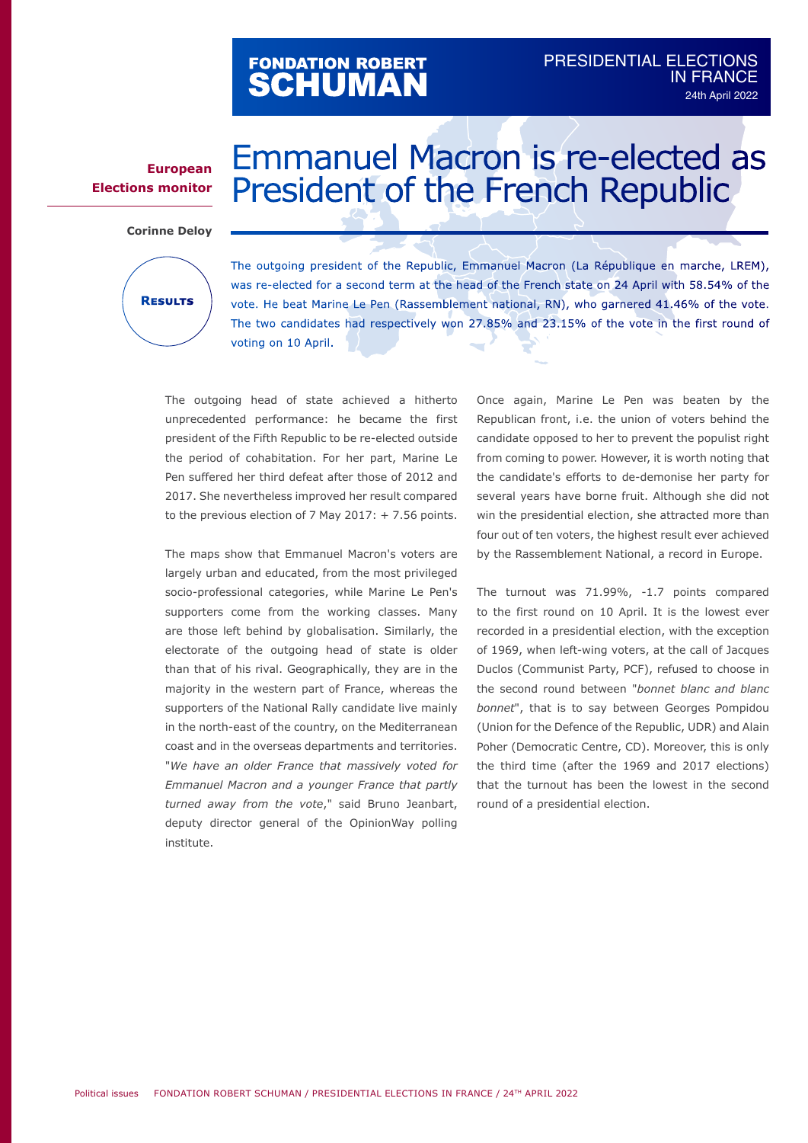# FONDATION ROBERT<br>**SCHUMAN**

## **European Elections monitor**

## Emmanuel Macron is re-elected as President of the French Republic

**Corinne Deloy**



The outgoing president of the Republic, Emmanuel Macron (La République en marche, LREM), was re-elected for a second term at the head of the French state on 24 April with 58.54% of the vote. He beat Marine Le Pen (Rassemblement national, RN), who garnered 41.46% of the vote. The two candidates had respectively won 27.85% and 23.15% of the vote in the first round of voting on 10 April.

The outgoing head of state achieved a hitherto unprecedented performance: he became the first president of the Fifth Republic to be re-elected outside the period of cohabitation. For her part, Marine Le Pen suffered her third defeat after those of 2012 and 2017. She nevertheless improved her result compared to the previous election of 7 May 2017: + 7.56 points.

The maps show that Emmanuel Macron's voters are largely urban and educated, from the most privileged socio-professional categories, while Marine Le Pen's supporters come from the working classes. Many are those left behind by globalisation. Similarly, the electorate of the outgoing head of state is older than that of his rival. Geographically, they are in the majority in the western part of France, whereas the supporters of the National Rally candidate live mainly in the north-east of the country, on the Mediterranean coast and in the overseas departments and territories. "*We have an older France that massively voted for Emmanuel Macron and a younger France that partly turned away from the vote*," said Bruno Jeanbart, deputy director general of the OpinionWay polling institute.

Once again, Marine Le Pen was beaten by the Republican front, i.e. the union of voters behind the candidate opposed to her to prevent the populist right from coming to power. However, it is worth noting that the candidate's efforts to de-demonise her party for several years have borne fruit. Although she did not win the presidential election, she attracted more than four out of ten voters, the highest result ever achieved by the Rassemblement National, a record in Europe.

The turnout was 71.99%, -1.7 points compared to the first round on 10 April. It is the lowest ever recorded in a presidential election, with the exception of 1969, when left-wing voters, at the call of Jacques Duclos (Communist Party, PCF), refused to choose in the second round between "*bonnet blanc and blanc bonnet*", that is to say between Georges Pompidou (Union for the Defence of the Republic, UDR) and Alain Poher (Democratic Centre, CD). Moreover, this is only the third time (after the 1969 and 2017 elections) that the turnout has been the lowest in the second round of a presidential election.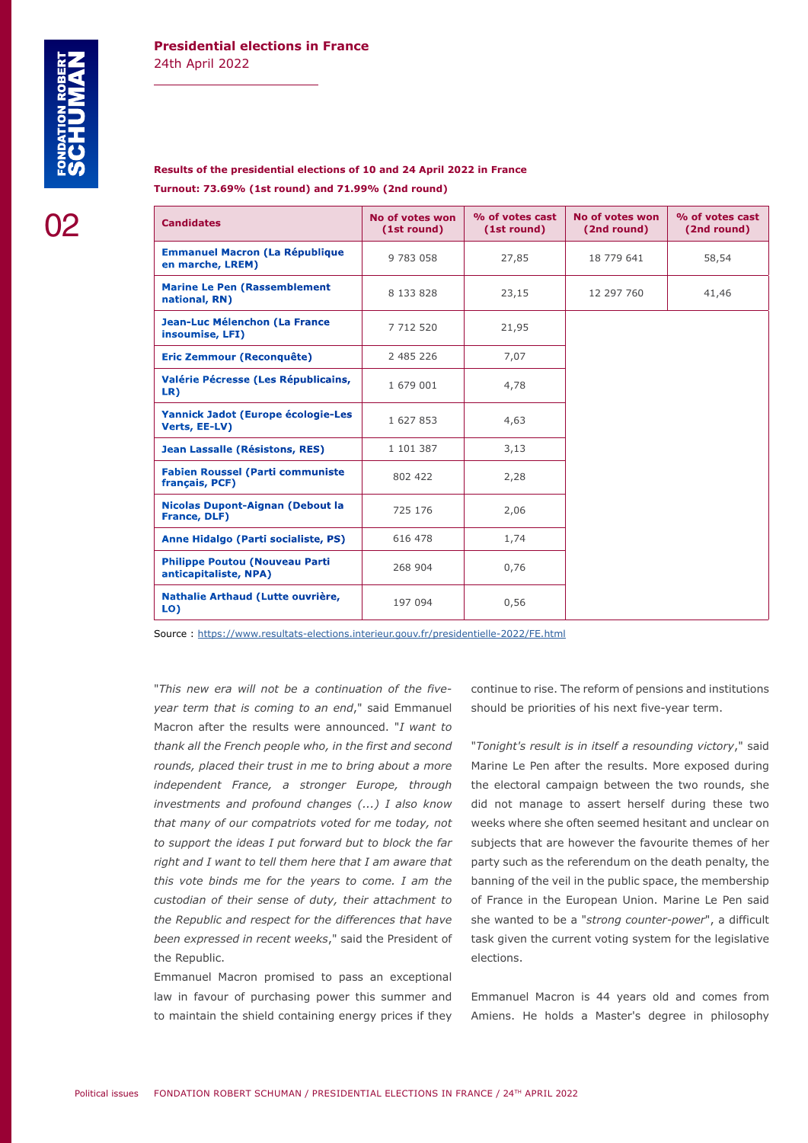## **Presidential elections in France**

24th April 2022

#### **Results of the presidential elections of 10 and 24 April 2022 in France Turnout: 73.69% (1st round) and 71.99% (2nd round)**

| <b>Candidates</b>                                              | No of votes won<br>(1st round) | % of votes cast<br>(1st round) | No of votes won<br>(2nd round) | % of votes cast<br>(2nd round) |
|----------------------------------------------------------------|--------------------------------|--------------------------------|--------------------------------|--------------------------------|
| <b>Emmanuel Macron (La République</b><br>en marche, LREM)      | 9 783 058                      | 27,85                          | 18 779 641                     | 58,54                          |
| <b>Marine Le Pen (Rassemblement</b><br>national, RN)           | 8 133 828                      | 23,15                          | 12 297 760                     | 41,46                          |
| Jean-Luc Mélenchon (La France<br>insoumise, LFI)               | 7 712 520                      | 21,95                          |                                |                                |
| <b>Eric Zemmour (Reconquête)</b>                               | 2 485 226                      | 7,07                           |                                |                                |
| Valérie Pécresse (Les Républicains,<br>LR)                     | 1 679 001                      | 4,78                           |                                |                                |
| <b>Yannick Jadot (Europe écologie-Les</b><br>Verts, EE-LV)     | 1 627 853                      | 4,63                           |                                |                                |
| Jean Lassalle (Résistons, RES)                                 | 1 101 387                      | 3,13                           |                                |                                |
| <b>Fabien Roussel (Parti communiste</b><br>français, PCF)      | 802 422                        | 2,28                           |                                |                                |
| Nicolas Dupont-Aignan (Debout la<br>France, DLF)               | 725 176                        | 2,06                           |                                |                                |
| Anne Hidalgo (Parti socialiste, PS)                            | 616 478                        | 1,74                           |                                |                                |
| <b>Philippe Poutou (Nouveau Parti</b><br>anticapitaliste, NPA) | 268 904                        | 0,76                           |                                |                                |
| Nathalie Arthaud (Lutte ouvrière,<br>LO)                       | 197 094                        | 0,56                           |                                |                                |

Source : <https://www.resultats-elections.interieur.gouv.fr/presidentielle-2022/FE.html>

"*This new era will not be a continuation of the fiveyear term that is coming to an end*," said Emmanuel Macron after the results were announced. "*I want to thank all the French people who, in the first and second rounds, placed their trust in me to bring about a more independent France, a stronger Europe, through investments and profound changes (...) I also know that many of our compatriots voted for me today, not to support the ideas I put forward but to block the far right and I want to tell them here that I am aware that this vote binds me for the years to come. I am the custodian of their sense of duty, their attachment to the Republic and respect for the differences that have been expressed in recent weeks*," said the President of the Republic.

Emmanuel Macron promised to pass an exceptional law in favour of purchasing power this summer and to maintain the shield containing energy prices if they continue to rise. The reform of pensions and institutions should be priorities of his next five-year term.

"*Tonight's result is in itself a resounding victory*," said Marine Le Pen after the results. More exposed during the electoral campaign between the two rounds, she did not manage to assert herself during these two weeks where she often seemed hesitant and unclear on subjects that are however the favourite themes of her party such as the referendum on the death penalty, the banning of the veil in the public space, the membership of France in the European Union. Marine Le Pen said she wanted to be a "*strong counter-power*", a difficult task given the current voting system for the legislative elections.

Emmanuel Macron is 44 years old and comes from Amiens. He holds a Master's degree in philosophy

02